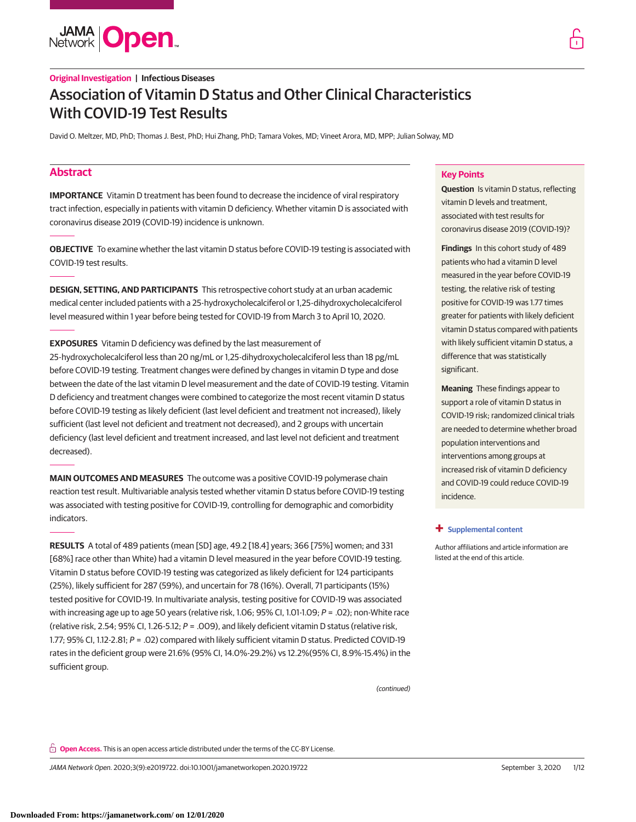**JAMA Open** 

David O. Meltzer, MD, PhD; Thomas J. Best, PhD; Hui Zhang, PhD; Tamara Vokes, MD; Vineet Arora, MD, MPP; Julian Solway, MD

# **Abstract**

**IMPORTANCE** Vitamin D treatment has been found to decrease the incidence of viral respiratory tract infection, especially in patients with vitamin D deficiency. Whether vitamin D is associated with coronavirus disease 2019 (COVID-19) incidence is unknown.

**OBJECTIVE** To examine whether the last vitamin D status before COVID-19 testing is associated with COVID-19 test results.

**DESIGN, SETTING, AND PARTICIPANTS** This retrospective cohort study at an urban academic medical center included patients with a 25-hydroxycholecalciferol or 1,25-dihydroxycholecalciferol level measured within 1 year before being tested for COVID-19 from March 3 to April 10, 2020.

**EXPOSURES** Vitamin D deficiency was defined by the last measurement of 25-hydroxycholecalciferol less than 20 ng/mL or 1,25-dihydroxycholecalciferol less than 18 pg/mL before COVID-19 testing. Treatment changes were defined by changes in vitamin D type and dose between the date of the last vitamin D level measurement and the date of COVID-19 testing. Vitamin D deficiency and treatment changes were combined to categorize the most recent vitamin D status before COVID-19 testing as likely deficient (last level deficient and treatment not increased), likely sufficient (last level not deficient and treatment not decreased), and 2 groups with uncertain deficiency (last level deficient and treatment increased, and last level not deficient and treatment decreased).

**MAIN OUTCOMES AND MEASURES** The outcome was a positive COVID-19 polymerase chain reaction test result. Multivariable analysis tested whether vitamin D status before COVID-19 testing was associated with testing positive for COVID-19, controlling for demographic and comorbidity indicators.

**RESULTS** A total of 489 patients (mean [SD] age, 49.2 [18.4] years; 366 [75%] women; and 331 [68%] race other than White) had a vitamin D level measured in the year before COVID-19 testing. Vitamin D status before COVID-19 testing was categorized as likely deficient for 124 participants (25%), likely sufficient for 287 (59%), and uncertain for 78 (16%). Overall, 71 participants (15%) tested positive for COVID-19. In multivariate analysis, testing positive for COVID-19 was associated with increasing age up to age 50 years (relative risk, 1.06;  $95\%$  CI, 1.01-1.09;  $P = .02$ ); non-White race (relative risk, 2.54; 95% CI, 1.26-5.12;  $P = .009$ ), and likely deficient vitamin D status (relative risk, 1.77; 95% CI, 1.12-2.81; P = .02) compared with likely sufficient vitamin D status. Predicted COVID-19 rates in the deficient group were 21.6% (95% CI, 14.0%-29.2%) vs 12.2%(95% CI, 8.9%-15.4%) in the sufficient group.

(continued)

# **Key Points**

**Question** Is vitamin D status, reflecting vitamin D levels and treatment, associated with test results for coronavirus disease 2019 (COVID-19)?

**Findings** In this cohort study of 489 patients who had a vitamin D level measured in the year before COVID-19 testing, the relative risk of testing positive for COVID-19 was 1.77 times greater for patients with likely deficient vitamin D status compared with patients with likely sufficient vitamin D status, a difference that was statistically significant.

**Meaning** These findings appear to support a role of vitamin D status in COVID-19 risk; randomized clinical trials are needed to determine whether broad population interventions and interventions among groups at increased risk of vitamin D deficiency and COVID-19 could reduce COVID-19 incidence.

# **+ [Supplemental content](https://jama.jamanetwork.com/article.aspx?doi=10.1001/jamanetworkopen.2020.19722&utm_campaign=articlePDF%26utm_medium=articlePDFlink%26utm_source=articlePDF%26utm_content=jamanetworkopen.2020.19722)**

Author affiliations and article information are listed at the end of this article.

**Open Access.** This is an open access article distributed under the terms of the CC-BY License.

JAMA Network Open. 2020;3(9):e2019722. doi:10.1001/jamanetworkopen.2020.19722 (Reprinted) September 3, 2020 1/12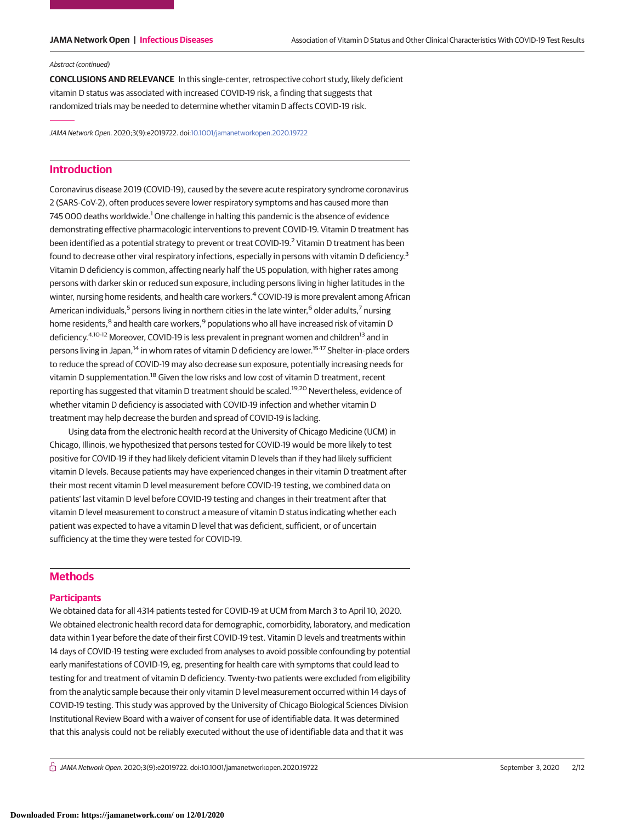#### Abstract (continued)

**CONCLUSIONS AND RELEVANCE** In this single-center, retrospective cohort study, likely deficient vitamin D status was associated with increased COVID-19 risk, a finding that suggests that randomized trials may be needed to determine whether vitamin D affects COVID-19 risk.

JAMA Network Open. 2020;3(9):e2019722. doi[:10.1001/jamanetworkopen.2020.19722](https://jama.jamanetwork.com/article.aspx?doi=10.1001/jamanetworkopen.2020.19722&utm_campaign=articlePDF%26utm_medium=articlePDFlink%26utm_source=articlePDF%26utm_content=jamanetworkopen.2020.19722)

# **Introduction**

Coronavirus disease 2019 (COVID-19), caused by the severe acute respiratory syndrome coronavirus 2 (SARS-CoV-2), often produces severe lower respiratory symptoms and has caused more than 745 000 deaths worldwide.<sup>1</sup> One challenge in halting this pandemic is the absence of evidence demonstrating effective pharmacologic interventions to prevent COVID-19. Vitamin D treatment has been identified as a potential strategy to prevent or treat COVID-19.<sup>2</sup> Vitamin D treatment has been found to decrease other viral respiratory infections, especially in persons with vitamin D deficiency.<sup>3</sup> Vitamin D deficiency is common, affecting nearly half the US population, with higher rates among persons with darker skin or reduced sun exposure, including persons living in higher latitudes in the winter, nursing home residents, and health care workers.<sup>4</sup> COVID-19 is more prevalent among African American individuals,<sup>5</sup> persons living in northern cities in the late winter,<sup>6</sup> older adults,<sup>7</sup> nursing home residents,<sup>8</sup> and health care workers,<sup>9</sup> populations who all have increased risk of vitamin D deficiency.<sup>4,10-12</sup> Moreover, COVID-19 is less prevalent in pregnant women and children<sup>13</sup> and in persons living in Japan,<sup>14</sup> in whom rates of vitamin D deficiency are lower.<sup>15-17</sup> Shelter-in-place orders to reduce the spread of COVID-19 may also decrease sun exposure, potentially increasing needs for vitamin D supplementation.<sup>18</sup> Given the low risks and low cost of vitamin D treatment, recent reporting has suggested that vitamin D treatment should be scaled.<sup>19,20</sup> Nevertheless, evidence of whether vitamin D deficiency is associated with COVID-19 infection and whether vitamin D treatment may help decrease the burden and spread of COVID-19 is lacking.

Using data from the electronic health record at the University of Chicago Medicine (UCM) in Chicago, Illinois, we hypothesized that persons tested for COVID-19 would be more likely to test positive for COVID-19 if they had likely deficient vitamin D levels than if they had likely sufficient vitamin D levels. Because patients may have experienced changes in their vitamin D treatment after their most recent vitamin D level measurement before COVID-19 testing, we combined data on patients' last vitamin D level before COVID-19 testing and changes in their treatment after that vitamin D level measurement to construct a measure of vitamin D status indicating whether each patient was expected to have a vitamin D level that was deficient, sufficient, or of uncertain sufficiency at the time they were tested for COVID-19.

# **Methods**

# **Participants**

We obtained data for all 4314 patients tested for COVID-19 at UCM from March 3 to April 10, 2020. We obtained electronic health record data for demographic, comorbidity, laboratory, and medication data within 1 year before the date of their first COVID-19 test. Vitamin D levels and treatments within 14 days of COVID-19 testing were excluded from analyses to avoid possible confounding by potential early manifestations of COVID-19, eg, presenting for health care with symptoms that could lead to testing for and treatment of vitamin D deficiency. Twenty-two patients were excluded from eligibility from the analytic sample because their only vitamin D level measurement occurred within 14 days of COVID-19 testing. This study was approved by the University of Chicago Biological Sciences Division Institutional Review Board with a waiver of consent for use of identifiable data. It was determined that this analysis could not be reliably executed without the use of identifiable data and that it was

 $\bigcap$  JAMA Network Open. 2020;3(9):e2019722. doi:10.1001/jamanetworkopen.2020.19722 (Reprinted) September 3, 2020 2/12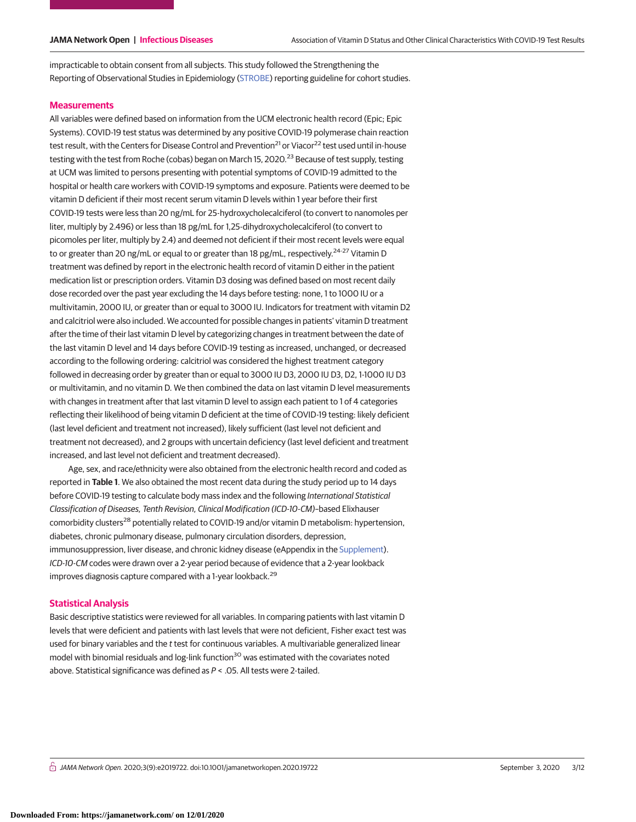impracticable to obtain consent from all subjects. This study followed the Strengthening the Reporting of Observational Studies in Epidemiology [\(STROBE\)](https://www.equator-network.org/reporting-guidelines/strobe/) reporting guideline for cohort studies.

### **Measurements**

All variables were defined based on information from the UCM electronic health record (Epic; Epic Systems). COVID-19 test status was determined by any positive COVID-19 polymerase chain reaction test result, with the Centers for Disease Control and Prevention<sup>21</sup> or Viacor<sup>22</sup> test used until in-house testing with the test from Roche (cobas) began on March 15, 2020.<sup>23</sup> Because of test supply, testing at UCM was limited to persons presenting with potential symptoms of COVID-19 admitted to the hospital or health care workers with COVID-19 symptoms and exposure. Patients were deemed to be vitamin D deficient if their most recent serum vitamin D levels within 1 year before their first COVID-19 tests were less than 20 ng/mL for 25-hydroxycholecalciferol (to convert to nanomoles per liter, multiply by 2.496) or less than 18 pg/mL for 1,25-dihydroxycholecalciferol (to convert to picomoles per liter, multiply by 2.4) and deemed not deficient if their most recent levels were equal to or greater than 20 ng/mL or equal to or greater than 18 pg/mL, respectively.<sup>24-27</sup> Vitamin D treatment was defined by report in the electronic health record of vitamin D either in the patient medication list or prescription orders. Vitamin D3 dosing was defined based on most recent daily dose recorded over the past year excluding the 14 days before testing: none, 1 to 1000 IU or a multivitamin, 2000 IU, or greater than or equal to 3000 IU. Indicators for treatment with vitamin D2 and calcitriol were also included. We accounted for possible changes in patients' vitamin D treatment after the time of their last vitamin D level by categorizing changes in treatment between the date of the last vitamin D level and 14 days before COVID-19 testing as increased, unchanged, or decreased according to the following ordering: calcitriol was considered the highest treatment category followed in decreasing order by greater than or equal to 3000 IU D3, 2000 IU D3, D2, 1-1000 IU D3 or multivitamin, and no vitamin D. We then combined the data on last vitamin D level measurements with changes in treatment after that last vitamin D level to assign each patient to 1 of 4 categories reflecting their likelihood of being vitamin D deficient at the time of COVID-19 testing: likely deficient (last level deficient and treatment not increased), likely sufficient (last level not deficient and treatment not decreased), and 2 groups with uncertain deficiency (last level deficient and treatment increased, and last level not deficient and treatment decreased).

Age, sex, and race/ethnicity were also obtained from the electronic health record and coded as reported in **Table 1**. We also obtained the most recent data during the study period up to 14 days before COVID-19 testing to calculate body mass index and the following International Statistical Classification of Diseases, Tenth Revision, Clinical Modification (ICD-10-CM)–based Elixhauser comorbidity clusters<sup>28</sup> potentially related to COVID-19 and/or vitamin D metabolism: hypertension, diabetes, chronic pulmonary disease, pulmonary circulation disorders, depression, immunosuppression, liver disease, and chronic kidney disease (eAppendix in the [Supplement\)](https://jama.jamanetwork.com/article.aspx?doi=10.1001/jamanetworkopen.2020.19722&utm_campaign=articlePDF%26utm_medium=articlePDFlink%26utm_source=articlePDF%26utm_content=jamanetworkopen.2020.19722). ICD-10-CM codes were drawn over a 2-year period because of evidence that a 2-year lookback improves diagnosis capture compared with a 1-year lookback.<sup>29</sup>

# **Statistical Analysis**

Basic descriptive statistics were reviewed for all variables. In comparing patients with last vitamin D levels that were deficient and patients with last levels that were not deficient, Fisher exact test was used for binary variables and the t test for continuous variables. A multivariable generalized linear model with binomial residuals and log-link function<sup>30</sup> was estimated with the covariates noted above. Statistical significance was defined as P < .05. All tests were 2-tailed.

 $\frac{1}{11}$  JAMA Network Open. 2020;3(9):e2019722. doi:10.1001/jamanetworkopen.2020.19722 (Reprinted at a september 3, 2020 3/12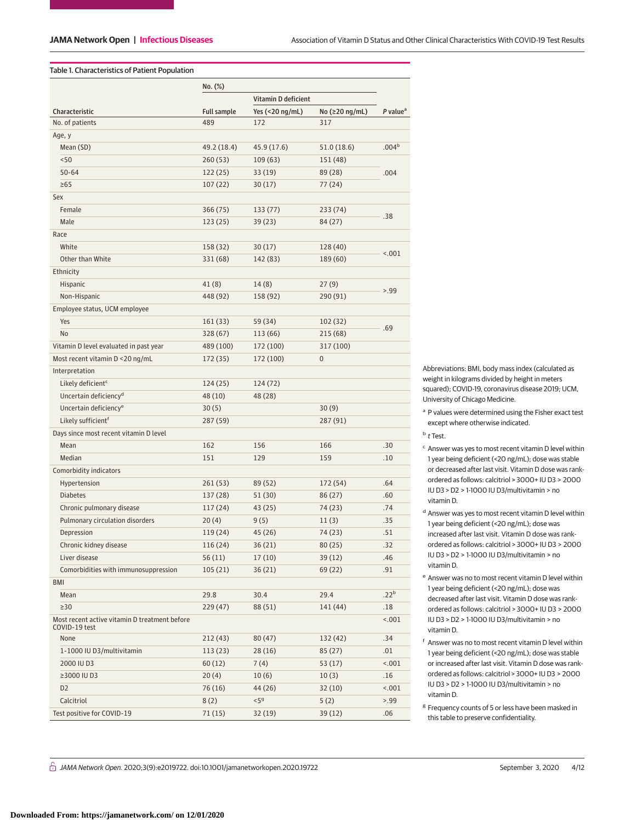# Table 1. Characteristics of Patient Population

|                                               | No. (%)            |                     |                |                      |  |
|-----------------------------------------------|--------------------|---------------------|----------------|----------------------|--|
|                                               |                    | Vitamin D deficient |                |                      |  |
| Characteristic                                | <b>Full sample</b> | Yes (<20 ng/mL)     | No (≥20 ng/mL) | P value <sup>a</sup> |  |
| No. of patients                               | 489                | 172                 | 317            |                      |  |
| Age, y                                        |                    |                     |                |                      |  |
| Mean (SD)                                     | 49.2 (18.4)        | 45.9 (17.6)         | 51.0(18.6)     | .004 <sup>b</sup>    |  |
| < 50                                          | 260(53)            | 109(63)             | 151 (48)       |                      |  |
| $50 - 64$                                     | 122(25)            | 33 (19)             | 89 (28)        | .004                 |  |
| $\geq 65$                                     | 107(22)            | 30(17)              | 77 (24)        |                      |  |
| Sex                                           |                    |                     |                |                      |  |
| Female                                        | 366 (75)           | 133 (77)            | 233 (74)       |                      |  |
| Male                                          | 123(25)            | 39 (23)             | 84 (27)        | .38                  |  |
| Race                                          |                    |                     |                |                      |  |
| White                                         | 158 (32)           | 30(17)              | 128 (40)       |                      |  |
| Other than White                              | 331 (68)           | 142 (83)            | 189 (60)       | < .001               |  |
| Ethnicity                                     |                    |                     |                |                      |  |
| Hispanic                                      | 41 (8)             | 14(8)               | 27(9)          |                      |  |
| Non-Hispanic                                  | 448 (92)           | 158 (92)            | 290 (91)       | > 0.99               |  |
| Employee status, UCM employee                 |                    |                     |                |                      |  |
| Yes                                           | 161 (33)           | 59 (34)             | 102 (32)       |                      |  |
| No                                            | 328 (67)           | 113 (66)            | 215 (68)       | .69                  |  |
| Vitamin D level evaluated in past year        | 489 (100)          | 172 (100)           | 317 (100)      |                      |  |
| Most recent vitamin D <20 ng/mL               | 172 (35)           | 172 (100)           | $\bf{0}$       |                      |  |
| Interpretation                                |                    |                     |                |                      |  |
| Likely deficient <sup>c</sup>                 | 124(25)            | 124 (72)            |                |                      |  |
| Uncertain deficiency <sup>d</sup>             | 48 (10)            | 48 (28)             |                |                      |  |
| Uncertain deficiency <sup>e</sup>             | 30(5)              |                     | 30(9)          |                      |  |
| Likely sufficient <sup>f</sup>                | 287 (59)           |                     | 287 (91)       |                      |  |
| Days since most recent vitamin D level        |                    |                     |                |                      |  |
| Mean                                          | 162                | 156                 | 166            | .30                  |  |
| Median                                        | 151                | 129                 | 159            | .10                  |  |
| Comorbidity indicators                        |                    |                     |                |                      |  |
| Hypertension                                  | 261(53)            | 89 (52)             | 172 (54)       | .64                  |  |
| <b>Diabetes</b>                               | 137 (28)           | 51 (30)             | 86 (27)        | .60                  |  |
| Chronic pulmonary disease                     | 117(24)            | 43 (25)             | 74 (23)        | .74                  |  |
| Pulmonary circulation disorders               | 20(4)              | 9(5)                | 11(3)          | .35                  |  |
| Depression                                    | 119 (24)           | 45 (26)             | 74 (23)        | .51                  |  |
| Chronic kidney disease                        | 116 (24)           | 36 (21)             | 80(25)         | .32                  |  |
| Liver disease                                 | 56(11)             | 17(10)              | 39 (12)        | .46                  |  |
| Comorbidities with immunosuppression          | 105(21)            | 36(21)              | 69 (22)        | .91                  |  |
| BMI                                           |                    |                     |                |                      |  |
| Mean                                          | 29.8               | 30.4                | 29.4           | .22 <sup>b</sup>     |  |
| $\geq$ 30                                     | 229(47)            | 88 (51)             | 141 (44)       | .18                  |  |
| Most recent active vitamin D treatment before |                    |                     |                | < .001               |  |
| COVID-19 test                                 |                    |                     |                |                      |  |
| None                                          | 212(43)            | 80(47)              | 132 (42)       | .34                  |  |
| 1-1000 IU D3/multivitamin                     | 113(23)            | 28(16)              | 85(27)         | .01                  |  |
| 2000 IU D3                                    | 60(12)             | 7(4)                | 53 (17)        | < .001               |  |
| ≥3000 IU D3                                   | 20(4)              | 10(6)               | 10(3)          | .16                  |  |
| D <sub>2</sub>                                | 76 (16)            | 44 (26)             | 32(10)         | < .001               |  |
| Calcitriol                                    | 8(2)               | < 5 <sup>g</sup>    | 5(2)           | > 99                 |  |
| Test positive for COVID-19                    | 71(15)             | 32 (19)             | 39 (12)        | .06                  |  |

Abbreviations: BMI, body mass index (calculated as weight in kilograms divided by height in meters squared); COVID-19, coronavirus disease 2019; UCM, University of Chicago Medicine.

<sup>a</sup> P values were determined using the Fisher exact test except where otherwise indicated.

<sup>b</sup> t Test.

- <sup>c</sup> Answer was yes to most recent vitamin D level within 1 year being deficient (<20 ng/mL); dose was stable or decreased after last visit. Vitamin D dose was rankordered as follows: calcitriol > 3000+ IU D3 > 2000 IU D3 > D2 > 1-1000 IU D3/multivitamin > no vitamin D.
- <sup>d</sup> Answer was yes to most recent vitamin D level within 1 year being deficient (<20 ng/mL); dose was increased after last visit. Vitamin D dose was rankordered as follows: calcitriol > 3000+ IU D3 > 2000 IU D3 > D2 > 1-1000 IU D3/multivitamin > no vitamin D.
- <sup>e</sup> Answer was no to most recent vitamin D level within 1 year being deficient (<20 ng/mL); dose was decreased after last visit. Vitamin D dose was rankordered as follows: calcitriol > 3000+ IU D3 > 2000 IU D3 > D2 > 1-1000 IU D3/multivitamin > no vitamin D.
- <sup>f</sup> Answer was no to most recent vitamin D level within 1 year being deficient (<20 ng/mL); dose was stable or increased after last visit. Vitamin D dose was rankordered as follows: calcitriol > 3000+ IU D3 > 2000 IU D3 > D2 > 1-1000 IU D3/multivitamin > no vitamin D.
- <sup>g</sup> Frequency counts of 5 or less have been masked in this table to preserve confidentiality.

 $\bigcap$  JAMA Network Open. 2020;3(9):e2019722. doi:10.1001/jamanetworkopen.2020.19722 (Reprinted at a september 3, 2020 4/12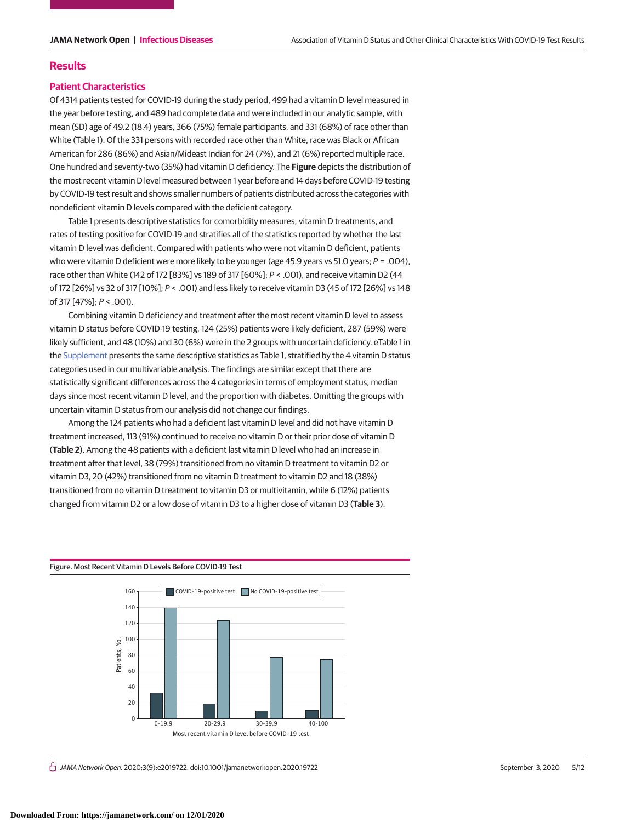# **Results**

## **Patient Characteristics**

Of 4314 patients tested for COVID-19 during the study period, 499 had a vitamin D level measured in the year before testing, and 489 had complete data and were included in our analytic sample, with mean (SD) age of 49.2 (18.4) years, 366 (75%) female participants, and 331 (68%) of race other than White (Table 1). Of the 331 persons with recorded race other than White, race was Black or African American for 286 (86%) and Asian/Mideast Indian for 24 (7%), and 21 (6%) reported multiple race. One hundred and seventy-two (35%) had vitamin D deficiency. The **Figure** depicts the distribution of the most recent vitamin D level measured between 1 year before and 14 days before COVID-19 testing by COVID-19 test result and shows smaller numbers of patients distributed across the categories with nondeficient vitamin D levels compared with the deficient category.

Table 1 presents descriptive statistics for comorbidity measures, vitamin D treatments, and rates of testing positive for COVID-19 and stratifies all of the statistics reported by whether the last vitamin D level was deficient. Compared with patients who were not vitamin D deficient, patients who were vitamin D deficient were more likely to be younger (age 45.9 years vs 51.0 years;  $P = .004$ ), race other than White (142 of 172 [83%] vs 189 of 317 [60%]; P < .001), and receive vitamin D2 (44 of 172 [26%] vs 32 of 317 [10%]; P < .001) and less likely to receive vitamin D3 (45 of 172 [26%] vs 148 of 317 [47%]; P < .001).

Combining vitamin D deficiency and treatment after the most recent vitamin D level to assess vitamin D status before COVID-19 testing, 124 (25%) patients were likely deficient, 287 (59%) were likely sufficient, and 48 (10%) and 30 (6%) were in the 2 groups with uncertain deficiency. eTable 1 in the [Supplement](https://jama.jamanetwork.com/article.aspx?doi=10.1001/jamanetworkopen.2020.19722&utm_campaign=articlePDF%26utm_medium=articlePDFlink%26utm_source=articlePDF%26utm_content=jamanetworkopen.2020.19722) presents the same descriptive statistics as Table 1, stratified by the 4 vitamin D status categories used in our multivariable analysis. The findings are similar except that there are statistically significant differences across the 4 categories in terms of employment status, median days since most recent vitamin D level, and the proportion with diabetes. Omitting the groups with uncertain vitamin D status from our analysis did not change our findings.

Among the 124 patients who had a deficient last vitamin D level and did not have vitamin D treatment increased, 113 (91%) continued to receive no vitamin D or their prior dose of vitamin D (**Table 2**). Among the 48 patients with a deficient last vitamin D level who had an increase in treatment after that level, 38 (79%) transitioned from no vitamin D treatment to vitamin D2 or vitamin D3, 20 (42%) transitioned from no vitamin D treatment to vitamin D2 and 18 (38%) transitioned from no vitamin D treatment to vitamin D3 or multivitamin, while 6 (12%) patients changed from vitamin D2 or a low dose of vitamin D3 to a higher dose of vitamin D3 (**Table 3**).

### Figure. Most Recent Vitamin D Levels Before COVID-19 Test



 $\stackrel{\frown}{\Pi}$  JAMA Network Open. 2020;3(9):e2019722. doi:10.1001/jamanetworkopen.2020.19722 (Reprinted at a september 3, 2020 5/12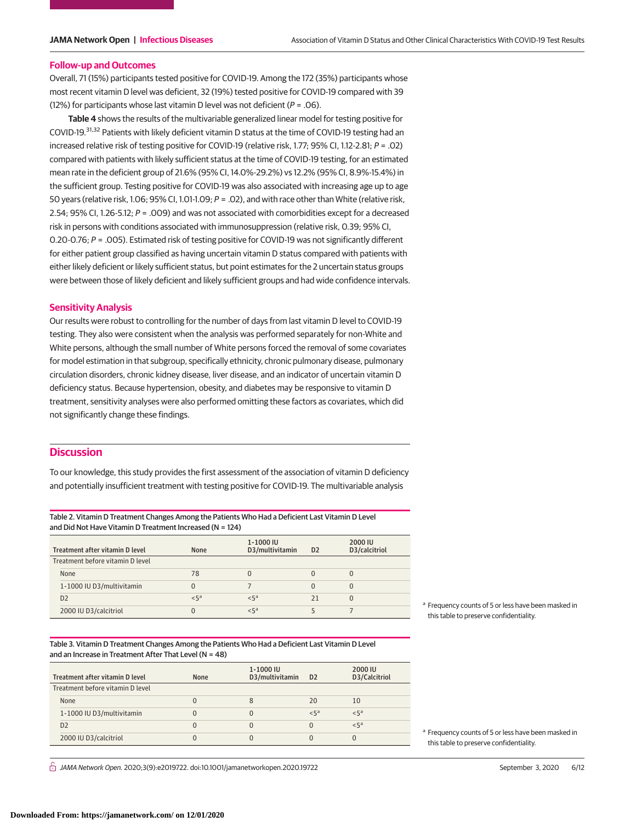#### **Follow-up and Outcomes**

Overall, 71 (15%) participants tested positive for COVID-19. Among the 172 (35%) participants whose most recent vitamin D level was deficient, 32 (19%) tested positive for COVID-19 compared with 39 (12%) for participants whose last vitamin D level was not deficient ( $P = .06$ ).

**Table 4** shows the results of the multivariable generalized linear model for testing positive for COVID-19.31,32 Patients with likely deficient vitamin D status at the time of COVID-19 testing had an increased relative risk of testing positive for COVID-19 (relative risk, 1.77; 95% CI, 1.12-2.81; P = .02) compared with patients with likely sufficient status at the time of COVID-19 testing, for an estimated mean rate in the deficient group of 21.6% (95% CI, 14.0%-29.2%) vs 12.2% (95% CI, 8.9%-15.4%) in the sufficient group. Testing positive for COVID-19 was also associated with increasing age up to age 50 years (relative risk, 1.06; 95% CI, 1.01-1.09; P = .02), and with race other than White (relative risk, 2.54; 95% CI, 1.26-5.12; P = .009) and was not associated with comorbidities except for a decreased risk in persons with conditions associated with immunosuppression (relative risk, 0.39; 95% CI, 0.20-0.76; P = .005). Estimated risk of testing positive for COVID-19 was not significantly different for either patient group classified as having uncertain vitamin D status compared with patients with either likely deficient or likely sufficient status, but point estimates for the 2 uncertain status groups were between those of likely deficient and likely sufficient groups and had wide confidence intervals.

# **Sensitivity Analysis**

Our results were robust to controlling for the number of days from last vitamin D level to COVID-19 testing. They also were consistent when the analysis was performed separately for non-White and White persons, although the small number of White persons forced the removal of some covariates for model estimation in that subgroup, specifically ethnicity, chronic pulmonary disease, pulmonary circulation disorders, chronic kidney disease, liver disease, and an indicator of uncertain vitamin D deficiency status. Because hypertension, obesity, and diabetes may be responsive to vitamin D treatment, sensitivity analyses were also performed omitting these factors as covariates, which did not significantly change these findings.

# **Discussion**

To our knowledge, this study provides the first assessment of the association of vitamin D deficiency and potentially insufficient treatment with testing positive for COVID-19. The multivariable analysis

Table 2. Vitamin D Treatment Changes Among the Patients Who Had a Deficient Last Vitamin D Level and Did Not Have Vitamin D Treatment Increased (N = 124)

| Treatment after vitamin D level  | <b>None</b>    | 1-1000 IU<br>D3/multivitamin | D <sub>2</sub> | 2000 IU<br>D3/calcitriol |
|----------------------------------|----------------|------------------------------|----------------|--------------------------|
| Treatment before vitamin D level |                |                              |                |                          |
| None                             | 78             |                              |                |                          |
| 1-1000 IU D3/multivitamin        | 0              |                              |                | 0                        |
| D <sub>2</sub>                   | 5 <sup>a</sup> | $5^a$                        | 21             | O                        |
| 2000 IU D3/calcitriol            | 0              | $< 5^a$                      |                |                          |

Table 3. Vitamin D Treatment Changes Among the Patients Who Had a Deficient Last Vitamin D Level and an Increase in Treatment After That Level (N = 48)

| Treatment after vitamin D level  | None | 1-1000 IU<br>D3/multivitamin | D <sub>2</sub> | 2000 IU<br>D3/Calcitriol |
|----------------------------------|------|------------------------------|----------------|--------------------------|
| Treatment before vitamin D level |      |                              |                |                          |
| None                             | 0    | 8                            | 20             | 10                       |
| 1-1000 IU D3/multivitamin        | 0    |                              | $< 5^a$        | < 5 <sup>a</sup>         |
| D <sub>2</sub>                   | 0    |                              | 0              | < 5 <sup>a</sup>         |
| 2000 IU D3/calcitriol            | 0    |                              | 0              |                          |

 $\frac{1}{11}$  JAMA Network Open. 2020;3(9):e2019722. doi:10.1001/jamanetworkopen.2020.19722 (Reprinted at a september 3, 2020 6/12

<sup>a</sup> Frequency counts of 5 or less have been masked in this table to preserve confidentiality.

<sup>a</sup> Frequency counts of 5 or less have been masked in this table to preserve confidentiality.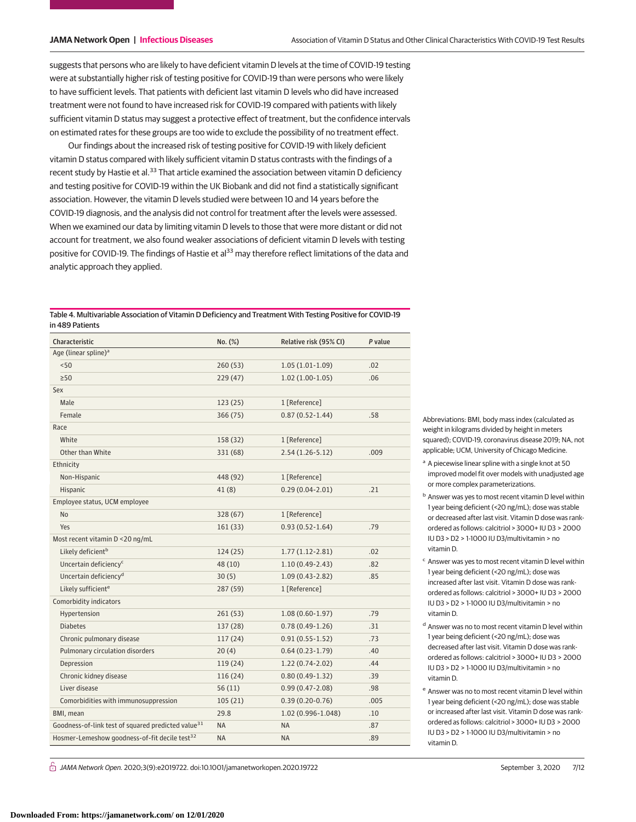suggests that persons who are likely to have deficient vitamin D levels at the time of COVID-19 testing were at substantially higher risk of testing positive for COVID-19 than were persons who were likely to have sufficient levels. That patients with deficient last vitamin D levels who did have increased treatment were not found to have increased risk for COVID-19 compared with patients with likely sufficient vitamin D status may suggest a protective effect of treatment, but the confidence intervals on estimated rates for these groups are too wide to exclude the possibility of no treatment effect.

Our findings about the increased risk of testing positive for COVID-19 with likely deficient vitamin D status compared with likely sufficient vitamin D status contrasts with the findings of a recent study by Hastie et al.<sup>33</sup> That article examined the association between vitamin D deficiency and testing positive for COVID-19 within the UK Biobank and did not find a statistically significant association. However, the vitamin D levels studied were between 10 and 14 years before the COVID-19 diagnosis, and the analysis did not control for treatment after the levels were assessed. When we examined our data by limiting vitamin D levels to those that were more distant or did not account for treatment, we also found weaker associations of deficient vitamin D levels with testing positive for COVID-19. The findings of Hastie et al<sup>33</sup> may therefore reflect limitations of the data and analytic approach they applied.

| Table 4. Multivariable Association of Vitamin D Deficiency and Treatment With Testing Positive for COVID-19 |
|-------------------------------------------------------------------------------------------------------------|
| in 489 Patients                                                                                             |

| Characteristic                                                 | No. (%)   | Relative risk (95% CI) | P value |
|----------------------------------------------------------------|-----------|------------------------|---------|
| Age (linear spline) <sup>a</sup>                               |           |                        |         |
| < 50                                                           | 260(53)   | $1.05(1.01-1.09)$      | .02     |
| $\geq 50$                                                      | 229(47)   | $1.02(1.00-1.05)$      | .06     |
| Sex                                                            |           |                        |         |
| Male                                                           | 123(25)   | 1 [Reference]          |         |
| Female                                                         | 366 (75)  | $0.87(0.52 - 1.44)$    | .58     |
| Race                                                           |           |                        |         |
| White                                                          | 158 (32)  | 1 [Reference]          |         |
| Other than White                                               | 331 (68)  | $2.54(1.26-5.12)$      | .009    |
| Ethnicity                                                      |           |                        |         |
| Non-Hispanic                                                   | 448 (92)  | 1 [Reference]          |         |
| Hispanic                                                       | 41(8)     | $0.29(0.04-2.01)$      | .21     |
| Employee status, UCM employee                                  |           |                        |         |
| N <sub>o</sub>                                                 | 328 (67)  | 1 [Reference]          |         |
| Yes                                                            | 161 (33)  | $0.93(0.52 - 1.64)$    | .79     |
| Most recent vitamin D <20 ng/mL                                |           |                        |         |
| Likely deficient <sup>b</sup>                                  | 124(25)   | $1.77(1.12-2.81)$      | .02     |
| Uncertain deficiency <sup>c</sup>                              | 48 (10)   | $1.10(0.49-2.43)$      | .82     |
| Uncertain deficiency <sup>d</sup>                              | 30(5)     | $1.09(0.43-2.82)$      | .85     |
| Likely sufficient <sup>e</sup>                                 | 287 (59)  | 1 [Reference]          |         |
| Comorbidity indicators                                         |           |                        |         |
| Hypertension                                                   | 261(53)   | $1.08(0.60-1.97)$      | .79     |
| <b>Diabetes</b>                                                | 137 (28)  | $0.78(0.49-1.26)$      | .31     |
| Chronic pulmonary disease                                      | 117(24)   | $0.91(0.55 - 1.52)$    | .73     |
| Pulmonary circulation disorders                                | 20(4)     | $0.64(0.23-1.79)$      | .40     |
| Depression                                                     | 119(24)   | $1.22(0.74-2.02)$      | .44     |
| Chronic kidney disease                                         | 116(24)   | $0.80(0.49-1.32)$      | .39     |
| Liver disease                                                  | 56(11)    | $0.99(0.47 - 2.08)$    | .98     |
| Comorbidities with immunosuppression                           | 105(21)   | $0.39(0.20-0.76)$      | .005    |
| BMI, mean                                                      | 29.8      | 1.02 (0.996-1.048)     | .10     |
| Goodness-of-link test of squared predicted value <sup>31</sup> | <b>NA</b> | <b>NA</b>              | .87     |
| Hosmer-Lemeshow goodness-of-fit decile test <sup>32</sup>      | <b>NA</b> | <b>NA</b>              | .89     |

 $\stackrel{\frown}{\Pi}$  JAMA Network Open. 2020;3(9):e2019722. doi:10.1001/jamanetworkopen.2020.19722 (Reprinted at a september 3, 2020 7/12

Abbreviations: BMI, body mass index (calculated as weight in kilograms divided by height in meters squared); COVID-19, coronavirus disease 2019; NA, not applicable; UCM, University of Chicago Medicine.

- <sup>a</sup> A piecewise linear spline with a single knot at 50 improved model fit over models with unadjusted age or more complex parameterizations.
- <sup>b</sup> Answer was yes to most recent vitamin D level within 1 year being deficient (<20 ng/mL); dose was stable or decreased after last visit. Vitamin D dose was rankordered as follows: calcitriol > 3000+ IU D3 > 2000 IU D3 > D2 > 1-1000 IU D3/multivitamin > no vitamin D.
- <sup>c</sup> Answer was yes to most recent vitamin D level within 1 year being deficient (<20 ng/mL); dose was increased after last visit. Vitamin D dose was rankordered as follows: calcitriol > 3000+ IU D3 > 2000 IU D3 > D2 > 1-1000 IU D3/multivitamin > no vitamin D.
- <sup>d</sup> Answer was no to most recent vitamin D level within 1 year being deficient (<20 ng/mL); dose was decreased after last visit. Vitamin D dose was rankordered as follows: calcitriol > 3000+ IU D3 > 2000 IU D3 > D2 > 1-1000 IU D3/multivitamin > no vitamin D.
- <sup>e</sup> Answer was no to most recent vitamin D level within 1 year being deficient (<20 ng/mL); dose was stable or increased after last visit. Vitamin D dose was rankordered as follows: calcitriol > 3000+ IU D3 > 2000 IU D3 > D2 > 1-1000 IU D3/multivitamin > no vitamin D.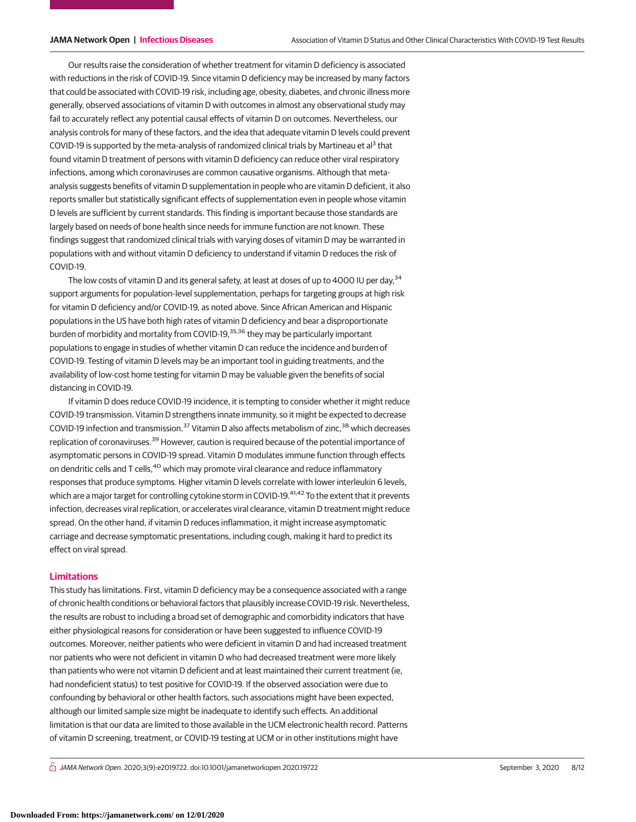Our results raise the consideration of whether treatment for vitamin D deficiency is associated with reductions in the risk of COVID-19. Since vitamin D deficiency may be increased by many factors that could be associated with COVID-19 risk, including age, obesity, diabetes, and chronic illness more generally, observed associations of vitamin D with outcomes in almost any observational study may fail to accurately reflect any potential causal effects of vitamin D on outcomes. Nevertheless, our analysis controls for many of these factors, and the idea that adequate vitamin D levels could prevent COVID-19 is supported by the meta-analysis of randomized clinical trials by Martineau et al<sup>3</sup> that found vitamin D treatment of persons with vitamin D deficiency can reduce other viral respiratory infections, among which coronaviruses are common causative organisms. Although that metaanalysis suggests benefits of vitamin D supplementation in people who are vitamin D deficient, it also reports smaller but statistically significant effects of supplementation even in people whose vitamin D levels are sufficient by current standards. This finding is important because those standards are largely based on needs of bone health since needs for immune function are not known. These findings suggest that randomized clinical trials with varying doses of vitamin D may be warranted in populations with and without vitamin D deficiency to understand if vitamin D reduces the risk of COVID-19.

The low costs of vitamin D and its general safety, at least at doses of up to 4000 IU per day,<sup>34</sup> support arguments for population-level supplementation, perhaps for targeting groups at high risk for vitamin D deficiency and/or COVID-19, as noted above. Since African American and Hispanic populations in the US have both high rates of vitamin D deficiency and bear a disproportionate burden of morbidity and mortality from COVID-19,<sup>35,36</sup> they may be particularly important populations to engage in studies of whether vitamin D can reduce the incidence and burden of COVID-19. Testing of vitamin D levels may be an important tool in guiding treatments, and the availability of low-cost home testing for vitamin D may be valuable given the benefits of social distancing in COVID-19.

If vitamin D does reduce COVID-19 incidence, it is tempting to consider whether it might reduce COVID-19 transmission. Vitamin D strengthens innate immunity, so it might be expected to decrease COVID-19 infection and transmission.<sup>37</sup> Vitamin D also affects metabolism of zinc,<sup>38</sup> which decreases replication of coronaviruses.<sup>39</sup> However, caution is required because of the potential importance of asymptomatic persons in COVID-19 spread. Vitamin D modulates immune function through effects on dendritic cells and T cells,  $40$  which may promote viral clearance and reduce inflammatory responses that produce symptoms. Higher vitamin D levels correlate with lower interleukin 6 levels, which are a major target for controlling cytokine storm in COVID-19.<sup>41,42</sup> To the extent that it prevents infection, decreases viral replication, or accelerates viral clearance, vitamin D treatment might reduce spread. On the other hand, if vitamin D reduces inflammation, it might increase asymptomatic carriage and decrease symptomatic presentations, including cough, making it hard to predict its effect on viral spread.

# **Limitations**

This study has limitations. First, vitamin D deficiency may be a consequence associated with a range of chronic health conditions or behavioral factors that plausibly increase COVID-19 risk. Nevertheless, the results are robust to including a broad set of demographic and comorbidity indicators that have either physiological reasons for consideration or have been suggested to influence COVID-19 outcomes. Moreover, neither patients who were deficient in vitamin D and had increased treatment nor patients who were not deficient in vitamin D who had decreased treatment were more likely than patients who were not vitamin D deficient and at least maintained their current treatment (ie, had nondeficient status) to test positive for COVID-19. If the observed association were due to confounding by behavioral or other health factors, such associations might have been expected, although our limited sample size might be inadequate to identify such effects. An additional limitation is that our data are limited to those available in the UCM electronic health record. Patterns of vitamin D screening, treatment, or COVID-19 testing at UCM or in other institutions might have

 $\bigcap$  JAMA Network Open. 2020;3(9):e2019722. doi:10.1001/jamanetworkopen.2020.19722 (Reprinted) September 3, 2020 8/12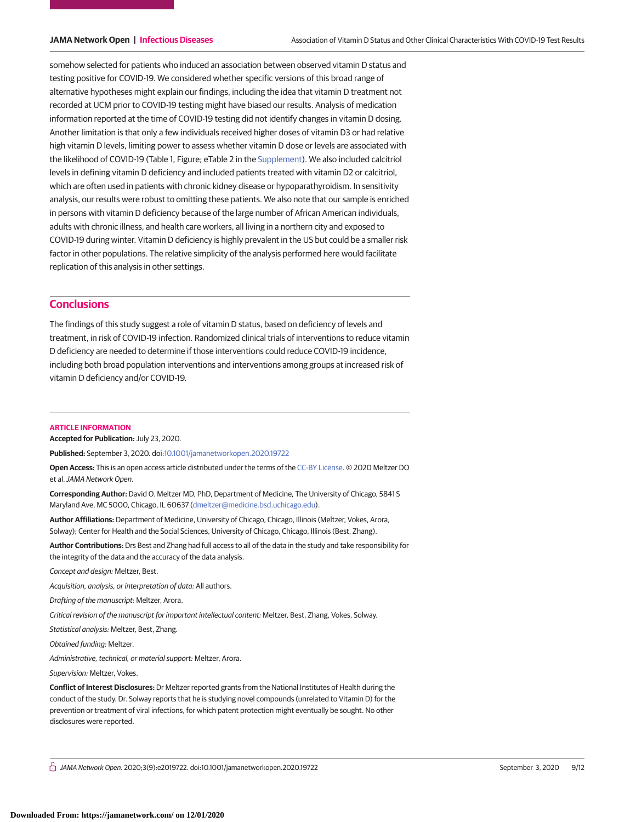somehow selected for patients who induced an association between observed vitamin D status and testing positive for COVID-19. We considered whether specific versions of this broad range of alternative hypotheses might explain our findings, including the idea that vitamin D treatment not recorded at UCM prior to COVID-19 testing might have biased our results. Analysis of medication information reported at the time of COVID-19 testing did not identify changes in vitamin D dosing. Another limitation is that only a few individuals received higher doses of vitamin D3 or had relative high vitamin D levels, limiting power to assess whether vitamin D dose or levels are associated with the likelihood of COVID-19 (Table 1, Figure; eTable 2 in the [Supplement\)](https://jama.jamanetwork.com/article.aspx?doi=10.1001/jamanetworkopen.2020.19722&utm_campaign=articlePDF%26utm_medium=articlePDFlink%26utm_source=articlePDF%26utm_content=jamanetworkopen.2020.19722). We also included calcitriol levels in defining vitamin D deficiency and included patients treated with vitamin D2 or calcitriol, which are often used in patients with chronic kidney disease or hypoparathyroidism. In sensitivity analysis, our results were robust to omitting these patients. We also note that our sample is enriched in persons with vitamin D deficiency because of the large number of African American individuals, adults with chronic illness, and health care workers, all living in a northern city and exposed to COVID-19 during winter. Vitamin D deficiency is highly prevalent in the US but could be a smaller risk factor in other populations. The relative simplicity of the analysis performed here would facilitate replication of this analysis in other settings.

# **Conclusions**

The findings of this study suggest a role of vitamin D status, based on deficiency of levels and treatment, in risk of COVID-19 infection. Randomized clinical trials of interventions to reduce vitamin D deficiency are needed to determine if those interventions could reduce COVID-19 incidence, including both broad population interventions and interventions among groups at increased risk of vitamin D deficiency and/or COVID-19.

#### **ARTICLE INFORMATION**

**Accepted for Publication:** July 23, 2020.

**Published:** September 3, 2020. doi[:10.1001/jamanetworkopen.2020.19722](https://jama.jamanetwork.com/article.aspx?doi=10.1001/jamanetworkopen.2020.19722&utm_campaign=articlePDF%26utm_medium=articlePDFlink%26utm_source=articlePDF%26utm_content=jamanetworkopen.2020.19722)

**Open Access:** This is an open access article distributed under the terms of the [CC-BY License.](https://jamanetwork.com/journals/jamanetworkopen/pages/instructions-for-authors#SecOpenAccess/?utm_campaign=articlePDF%26utm_medium=articlePDFlink%26utm_source=articlePDF%26utm_content=jamanetworkopen.2020.19722) © 2020 Meltzer DO et al.JAMA Network Open.

**Corresponding Author:** David O. Meltzer MD, PhD, Department of Medicine, The University of Chicago, 5841 S Maryland Ave, MC 5000, Chicago, IL 60637 [\(dmeltzer@medicine.bsd.uchicago.edu\)](mailto:dmeltzer@medicine.bsd.uchicago.edu).

**Author Affiliations:** Department of Medicine, University of Chicago, Chicago, Illinois (Meltzer, Vokes, Arora, Solway); Center for Health and the Social Sciences, University of Chicago, Chicago, Illinois (Best, Zhang).

**Author Contributions:** Drs Best and Zhang had full access to all of the data in the study and take responsibility for the integrity of the data and the accuracy of the data analysis.

Concept and design: Meltzer, Best.

Acquisition, analysis, or interpretation of data: All authors.

Drafting of the manuscript: Meltzer, Arora.

Critical revision of the manuscript for important intellectual content: Meltzer, Best, Zhang, Vokes, Solway.

Statistical analysis: Meltzer, Best, Zhang.

Obtained funding: Meltzer.

Administrative, technical, or material support: Meltzer, Arora.

Supervision: Meltzer, Vokes.

**Conflict of Interest Disclosures:** Dr Meltzer reported grants from the National Institutes of Health during the conduct of the study. Dr. Solway reports that he is studying novel compounds (unrelated to Vitamin D) for the prevention or treatment of viral infections, for which patent protection might eventually be sought. No other disclosures were reported.

 $\bigcap$  JAMA Network Open. 2020;3(9):e2019722. doi:10.1001/jamanetworkopen.2020.19722 (Reprinted) September 3, 2020 9/12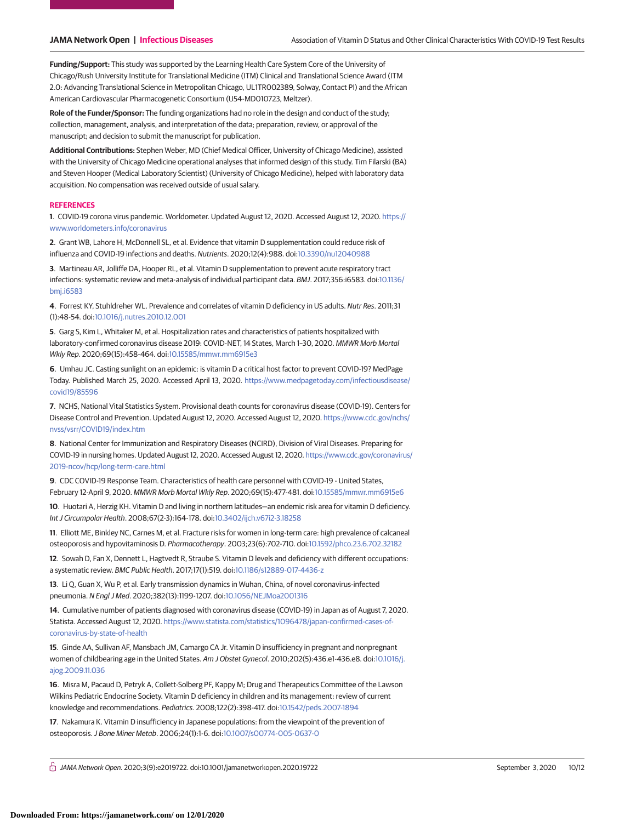**Funding/Support:** This study was supported by the Learning Health Care System Core of the University of Chicago/Rush University Institute for Translational Medicine (ITM) Clinical and Translational Science Award (ITM 2.0: Advancing Translational Science in Metropolitan Chicago, UL1TR002389, Solway, Contact PI) and the African American Cardiovascular Pharmacogenetic Consortium (U54-MD010723, Meltzer).

**Role of the Funder/Sponsor:** The funding organizations had no role in the design and conduct of the study; collection, management, analysis, and interpretation of the data; preparation, review, or approval of the manuscript; and decision to submit the manuscript for publication.

**Additional Contributions:** Stephen Weber, MD (Chief Medical Officer, University of Chicago Medicine), assisted with the University of Chicago Medicine operational analyses that informed design of this study. Tim Filarski (BA) and Steven Hooper (Medical Laboratory Scientist) (University of Chicago Medicine), helped with laboratory data acquisition. No compensation was received outside of usual salary.

#### **REFERENCES**

**1**. COVID-19 corona virus pandemic. Worldometer. Updated August 12, 2020. Accessed August 12, 2020. [https://](https://www.worldometers.info/coronavirus) [www.worldometers.info/coronavirus](https://www.worldometers.info/coronavirus)

**2**. Grant WB, Lahore H, McDonnell SL, et al. Evidence that vitamin D supplementation could reduce risk of influenza and COVID-19 infections and deaths. Nutrients. 2020;12(4):988. doi[:10.3390/nu12040988](https://dx.doi.org/10.3390/nu12040988)

**3**. Martineau AR, Jolliffe DA, Hooper RL, et al. Vitamin D supplementation to prevent acute respiratory tract infections: systematic review and meta-analysis of individual participant data. BMJ. 2017;356:i6583. doi[:10.1136/](https://dx.doi.org/10.1136/bmj.i6583) [bmj.i6583](https://dx.doi.org/10.1136/bmj.i6583)

**4**. Forrest KY, Stuhldreher WL. Prevalence and correlates of vitamin D deficiency in US adults. Nutr Res. 2011;31 (1):48-54. doi[:10.1016/j.nutres.2010.12.001](https://dx.doi.org/10.1016/j.nutres.2010.12.001)

**5**. Garg S, Kim L, Whitaker M, et al. Hospitalization rates and characteristics of patients hospitalized with laboratory-confirmed coronavirus disease 2019: COVID-NET, 14 States, March 1–30, 2020. MMWR Morb Mortal Wkly Rep. 2020;69(15):458-464. doi[:10.15585/mmwr.mm6915e3](https://dx.doi.org/10.15585/mmwr.mm6915e3)

**6**. Umhau JC. Casting sunlight on an epidemic: is vitamin D a critical host factor to prevent COVID-19? MedPage Today. Published March 25, 2020. Accessed April 13, 2020. [https://www.medpagetoday.com/infectiousdisease/](https://www.medpagetoday.com/infectiousdisease/covid19/85596) [covid19/85596](https://www.medpagetoday.com/infectiousdisease/covid19/85596)

**7**. NCHS, National Vital Statistics System. Provisional death counts for coronavirus disease (COVID-19). Centers for Disease Control and Prevention. Updated August 12, 2020. Accessed August 12, 2020. [https://www.cdc.gov/nchs/](https://www.cdc.gov/nchs/nvss/vsrr/COVID19/index.htm) [nvss/vsrr/COVID19/index.htm](https://www.cdc.gov/nchs/nvss/vsrr/COVID19/index.htm)

**8**. National Center for Immunization and Respiratory Diseases (NCIRD), Division of Viral Diseases. Preparing for COVID-19 in nursing homes. Updated August 12, 2020. Accessed August 12, 2020. [https://www.cdc.gov/coronavirus/](https://www.cdc.gov/coronavirus/2019-ncov/hcp/long-term-care.html) [2019-ncov/hcp/long-term-care.html](https://www.cdc.gov/coronavirus/2019-ncov/hcp/long-term-care.html)

**9**. CDC COVID-19 Response Team. Characteristics of health care personnel with COVID-19 - United States, February 12-April 9, 2020. MMWR Morb Mortal Wkly Rep. 2020;69(15):477-481. doi[:10.15585/mmwr.mm6915e6](https://dx.doi.org/10.15585/mmwr.mm6915e6)

**10**. Huotari A, Herzig KH. Vitamin D and living in northern latitudes—an endemic risk area for vitamin D deficiency. Int J Circumpolar Health. 2008;67(2-3):164-178. doi[:10.3402/ijch.v67i2-3.18258](https://dx.doi.org/10.3402/ijch.v67i2-3.18258)

**11**. Elliott ME, Binkley NC, Carnes M, et al. Fracture risks for women in long-term care: high prevalence of calcaneal osteoporosis and hypovitaminosis D. Pharmacotherapy. 2003;23(6):702-710. doi[:10.1592/phco.23.6.702.32182](https://dx.doi.org/10.1592/phco.23.6.702.32182)

**12**. Sowah D, Fan X, Dennett L, Hagtvedt R, Straube S. Vitamin D levels and deficiency with different occupations: a systematic review. BMC Public Health. 2017;17(1):519. doi[:10.1186/s12889-017-4436-z](https://dx.doi.org/10.1186/s12889-017-4436-z)

**13**. Li Q, Guan X, Wu P, et al. Early transmission dynamics in Wuhan, China, of novel coronavirus-infected pneumonia. N Engl J Med. 2020;382(13):1199-1207. doi[:10.1056/NEJMoa2001316](https://dx.doi.org/10.1056/NEJMoa2001316)

**14**. Cumulative number of patients diagnosed with coronavirus disease (COVID-19) in Japan as of August 7, 2020. Statista. Accessed August 12, 2020. [https://www.statista.com/statistics/1096478/japan-confirmed-cases-of](https://www.statista.com/statistics/1096478/japan-confirmed-cases-of-coronavirus-by-state-of-health)[coronavirus-by-state-of-health](https://www.statista.com/statistics/1096478/japan-confirmed-cases-of-coronavirus-by-state-of-health)

**15**. Ginde AA, Sullivan AF, Mansbach JM, Camargo CA Jr. Vitamin D insufficiency in pregnant and nonpregnant women of childbearing age in the United States. Am J Obstet Gynecol. 2010;202(5):436.e1-436.e8. doi[:10.1016/j.](https://dx.doi.org/10.1016/j.ajog.2009.11.036) [ajog.2009.11.036](https://dx.doi.org/10.1016/j.ajog.2009.11.036)

**16**. Misra M, Pacaud D, Petryk A, Collett-Solberg PF, Kappy M; Drug and Therapeutics Committee of the Lawson Wilkins Pediatric Endocrine Society. Vitamin D deficiency in children and its management: review of current knowledge and recommendations. Pediatrics. 2008;122(2):398-417. doi[:10.1542/peds.2007-1894](https://dx.doi.org/10.1542/peds.2007-1894)

**17**. Nakamura K. Vitamin D insufficiency in Japanese populations: from the viewpoint of the prevention of osteoporosis.J Bone Miner Metab. 2006;24(1):1-6. doi[:10.1007/s00774-005-0637-0](https://dx.doi.org/10.1007/s00774-005-0637-0)

 $\bigcap$  JAMA Network Open. 2020;3(9):e2019722. doi:10.1001/jamanetworkopen.2020.19722 (Reprinted at a september 3, 2020 10/12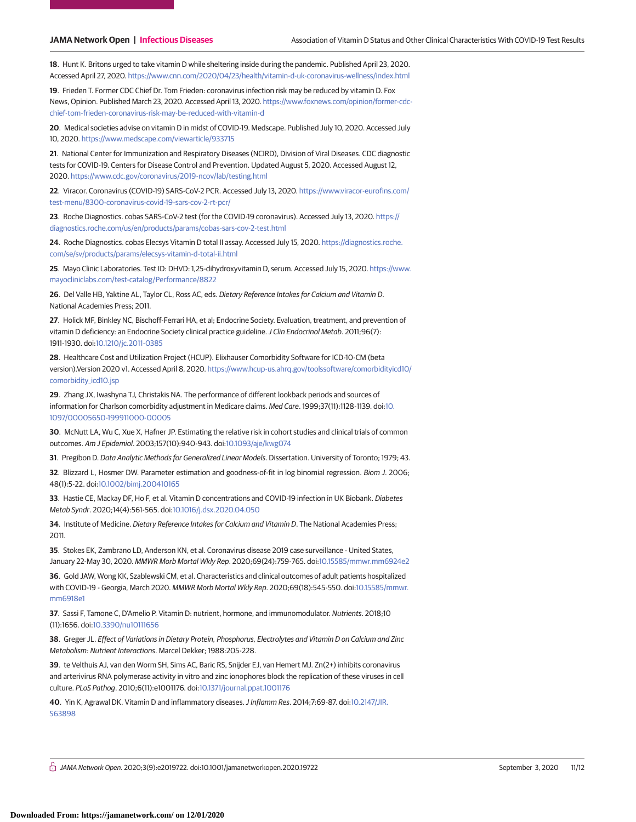**18**. Hunt K. Britons urged to take vitamin D while sheltering inside during the pandemic. Published April 23, 2020. Accessed April 27, 2020. <https://www.cnn.com/2020/04/23/health/vitamin-d-uk-coronavirus-wellness/index.html>

**19**. Frieden T. Former CDC Chief Dr. Tom Frieden: coronavirus infection risk may be reduced by vitamin D. Fox News, Opinion. Published March 23, 2020. Accessed April 13, 2020. [https://www.foxnews.com/opinion/former-cdc](https://www.foxnews.com/opinion/former-cdc-chief-tom-frieden-coronavirus-risk-may-be-reduced-with-vitamin-d)[chief-tom-frieden-coronavirus-risk-may-be-reduced-with-vitamin-d](https://www.foxnews.com/opinion/former-cdc-chief-tom-frieden-coronavirus-risk-may-be-reduced-with-vitamin-d)

**20**. Medical societies advise on vitamin D in midst of COVID-19. Medscape. Published July 10, 2020. Accessed July 10, 2020. <https://www.medscape.com/viewarticle/933715>

**21**. National Center for Immunization and Respiratory Diseases (NCIRD), Division of Viral Diseases. CDC diagnostic tests for COVID-19. Centers for Disease Control and Prevention. Updated August 5, 2020. Accessed August 12, 2020. <https://www.cdc.gov/coronavirus/2019-ncov/lab/testing.html>

**22**. Viracor. Coronavirus (COVID-19) SARS-CoV-2 PCR. Accessed July 13, 2020. [https://www.viracor-eurofins.com/](https://www.viracor-eurofins.com/test-menu/8300-coronavirus-covid-19-sars-cov-2-rt-pcr/) [test-menu/8300-coronavirus-covid-19-sars-cov-2-rt-pcr/](https://www.viracor-eurofins.com/test-menu/8300-coronavirus-covid-19-sars-cov-2-rt-pcr/)

**23**. Roche Diagnostics. cobas SARS-CoV-2 test (for the COVID-19 coronavirus). Accessed July 13, 2020. [https://](https://diagnostics.roche.com/us/en/products/params/cobas-sars-cov-2-test.html) [diagnostics.roche.com/us/en/products/params/cobas-sars-cov-2-test.html](https://diagnostics.roche.com/us/en/products/params/cobas-sars-cov-2-test.html)

**24**. Roche Diagnostics. cobas Elecsys Vitamin D total II assay. Accessed July 15, 2020. [https://diagnostics.roche.](https://diagnostics.roche.com/se/sv/products/params/elecsys-vitamin-d-total-ii.html) [com/se/sv/products/params/elecsys-vitamin-d-total-ii.html](https://diagnostics.roche.com/se/sv/products/params/elecsys-vitamin-d-total-ii.html)

**25**. Mayo Clinic Laboratories. Test ID: DHVD: 1,25-dihydroxyvitamin D, serum. Accessed July 15, 2020. [https://www.](https://www.mayocliniclabs.com/test-catalog/Performance/8822) [mayocliniclabs.com/test-catalog/Performance/8822](https://www.mayocliniclabs.com/test-catalog/Performance/8822)

**26**. Del Valle HB, Yaktine AL, Taylor CL, Ross AC, eds. Dietary Reference Intakes for Calcium and Vitamin D. National Academies Press; 2011.

**27**. Holick MF, Binkley NC, Bischoff-Ferrari HA, et al; Endocrine Society. Evaluation, treatment, and prevention of vitamin D deficiency: an Endocrine Society clinical practice guideline. J Clin Endocrinol Metab. 2011;96(7): 1911-1930. doi[:10.1210/jc.2011-0385](https://dx.doi.org/10.1210/jc.2011-0385)

**28**. Healthcare Cost and Utilization Project (HCUP). Elixhauser Comorbidity Software for ICD-10-CM (beta version).Version 2020 v1. Accessed April 8, 2020. [https://www.hcup-us.ahrq.gov/toolssoftware/comorbidityicd10/](https://www.hcup-us.ahrq.gov/toolssoftware/comorbidityicd10/comorbidity_icd10.jsp) comorbidity icd10.jsp

**29**. Zhang JX, Iwashyna TJ, Christakis NA. The performance of different lookback periods and sources of information for Charlson comorbidity adjustment in Medicare claims. Med Care. 1999;37(11):1128-1139. doi[:10.](https://dx.doi.org/10.1097/00005650-199911000-00005) [1097/00005650-199911000-00005](https://dx.doi.org/10.1097/00005650-199911000-00005)

**30**. McNutt LA, Wu C, Xue X, Hafner JP. Estimating the relative risk in cohort studies and clinical trials of common outcomes. Am J Epidemiol. 2003;157(10):940-943. doi[:10.1093/aje/kwg074](https://dx.doi.org/10.1093/aje/kwg074)

**31**. Pregibon D. Data Analytic Methods for Generalized Linear Models. Dissertation. University of Toronto; 1979; 43.

**32**. Blizzard L, Hosmer DW. Parameter estimation and goodness-of-fit in log binomial regression. Biom J. 2006; 48(1):5-22. doi[:10.1002/bimj.200410165](https://dx.doi.org/10.1002/bimj.200410165)

**33**. Hastie CE, Mackay DF, Ho F, et al. Vitamin D concentrations and COVID-19 infection in UK Biobank. Diabetes Metab Syndr. 2020;14(4):561-565. doi[:10.1016/j.dsx.2020.04.050](https://dx.doi.org/10.1016/j.dsx.2020.04.050)

**34**. Institute of Medicine. Dietary Reference Intakes for Calcium and Vitamin D. The National Academies Press; 2011.

**35**. Stokes EK, Zambrano LD, Anderson KN, et al. Coronavirus disease 2019 case surveillance - United States, January 22-May 30, 2020. MMWR Morb Mortal Wkly Rep. 2020;69(24):759-765. doi[:10.15585/mmwr.mm6924e2](https://dx.doi.org/10.15585/mmwr.mm6924e2)

**36**. Gold JAW, Wong KK, Szablewski CM, et al. Characteristics and clinical outcomes of adult patients hospitalized with COVID-19 - Georgia, March 2020. MMWR Morb Mortal Wkly Rep. 2020;69(18):545-550. doi[:10.15585/mmwr.](https://dx.doi.org/10.15585/mmwr.mm6918e1) [mm6918e1](https://dx.doi.org/10.15585/mmwr.mm6918e1)

**37**. Sassi F, Tamone C, D'Amelio P. Vitamin D: nutrient, hormone, and immunomodulator. Nutrients. 2018;10 (11):1656. doi[:10.3390/nu10111656](https://dx.doi.org/10.3390/nu10111656)

**38**. Greger JL. Effect of Variations in Dietary Protein, Phosphorus, Electrolytes and Vitamin D on Calcium and Zinc Metabolism: Nutrient Interactions. Marcel Dekker; 1988:205-228.

**39**. te Velthuis AJ, van den Worm SH, Sims AC, Baric RS, Snijder EJ, van Hemert MJ. Zn(2+) inhibits coronavirus and arterivirus RNA polymerase activity in vitro and zinc ionophores block the replication of these viruses in cell culture. PLoS Pathog. 2010;6(11):e1001176. doi[:10.1371/journal.ppat.1001176](https://dx.doi.org/10.1371/journal.ppat.1001176)

**40**. Yin K, Agrawal DK. Vitamin D and inflammatory diseases.J Inflamm Res. 2014;7:69-87. doi[:10.2147/JIR.](https://dx.doi.org/10.2147/JIR.S63898) [S63898](https://dx.doi.org/10.2147/JIR.S63898)

 $\stackrel{\frown}{\Box}$  JAMA Network Open. 2020;3(9):e2019722. doi:10.1001/jamanetworkopen.2020.19722 (Reprinted at a september 3, 2020 11/12